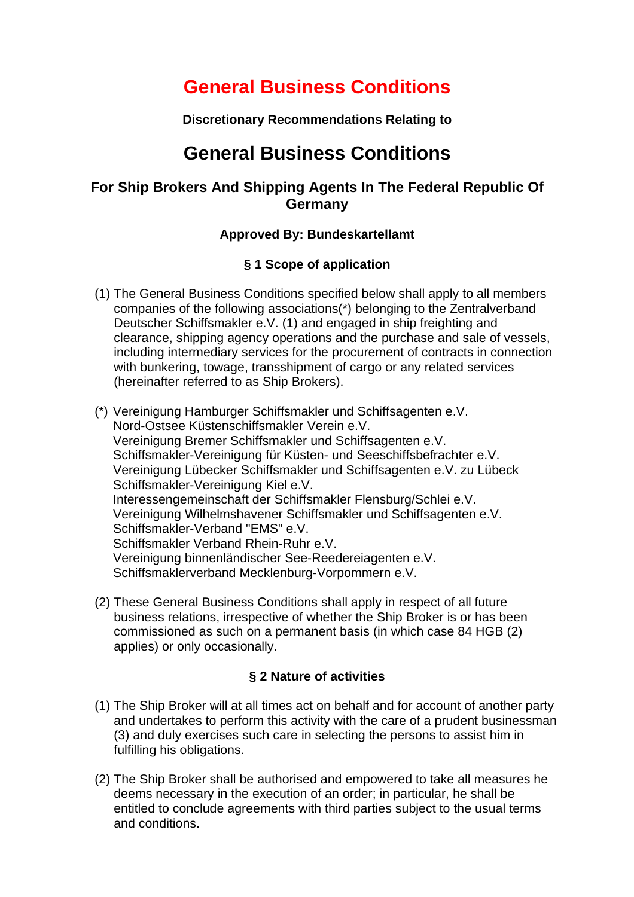# **General Business Conditions**

**Discretionary Recommendations Relating to**

## **General Business Conditions**

## **For Ship Brokers And Shipping Agents In The Federal Republic Of Germany**

## **Approved By: Bundeskartellamt**

## **§ 1 Scope of application**

- (1) The General Business Conditions specified below shall apply to all members companies of the following associations(\*) belonging to the Zentralverband Deutscher Schiffsmakler e.V. (1) and engaged in ship freighting and clearance, shipping agency operations and the purchase and sale of vessels, including intermediary services for the procurement of contracts in connection with bunkering, towage, transshipment of cargo or any related services (hereinafter referred to as Ship Brokers).
- (\*) Vereinigung Hamburger Schiffsmakler und Schiffsagenten e.V. Nord-Ostsee Küstenschiffsmakler Verein e.V. Vereinigung Bremer Schiffsmakler und Schiffsagenten e.V. Schiffsmakler-Vereinigung für Küsten- und Seeschiffsbefrachter e.V. Vereinigung Lübecker Schiffsmakler und Schiffsagenten e.V. zu Lübeck Schiffsmakler-Vereinigung Kiel e.V. Interessengemeinschaft der Schiffsmakler Flensburg/Schlei e.V. Vereinigung Wilhelmshavener Schiffsmakler und Schiffsagenten e.V. Schiffsmakler-Verband "EMS" e.V. Schiffsmakler Verband Rhein-Ruhr e.V. Vereinigung binnenländischer See-Reedereiagenten e.V. Schiffsmaklerverband Mecklenburg-Vorpommern e.V.
- (2) These General Business Conditions shall apply in respect of all future business relations, irrespective of whether the Ship Broker is or has been commissioned as such on a permanent basis (in which case 84 HGB (2) applies) or only occasionally.

## **§ 2 Nature of activities**

- (1) The Ship Broker will at all times act on behalf and for account of another party and undertakes to perform this activity with the care of a prudent businessman (3) and duly exercises such care in selecting the persons to assist him in fulfilling his obligations.
- (2) The Ship Broker shall be authorised and empowered to take all measures he deems necessary in the execution of an order; in particular, he shall be entitled to conclude agreements with third parties subject to the usual terms and conditions.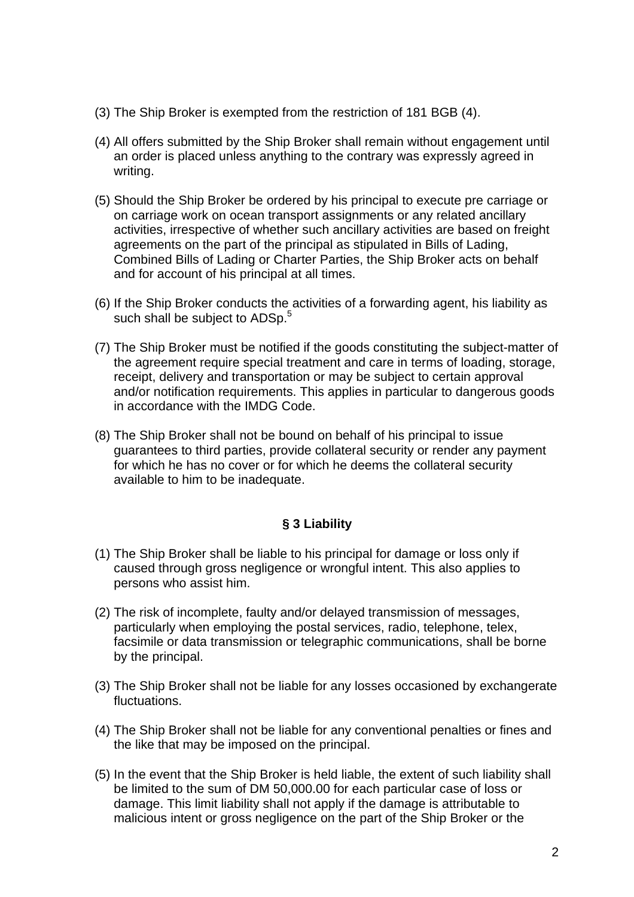- (3) The Ship Broker is exempted from the restriction of 181 BGB (4).
- (4) All offers submitted by the Ship Broker shall remain without engagement until an order is placed unless anything to the contrary was expressly agreed in writing.
- (5) Should the Ship Broker be ordered by his principal to execute pre carriage or on carriage work on ocean transport assignments or any related ancillary activities, irrespective of whether such ancillary activities are based on freight agreements on the part of the principal as stipulated in Bills of Lading, Combined Bills of Lading or Charter Parties, the Ship Broker acts on behalf and for account of his principal at all times.
- (6) If the Ship Broker conducts the activities of a forwarding agent, his liability as such shall be subject to ADSp.<sup>5</sup>
- (7) The Ship Broker must be notified if the goods constituting the subject-matter of the agreement require special treatment and care in terms of loading, storage, receipt, delivery and transportation or may be subject to certain approval and/or notification requirements. This applies in particular to dangerous goods in accordance with the IMDG Code.
- (8) The Ship Broker shall not be bound on behalf of his principal to issue guarantees to third parties, provide collateral security or render any payment for which he has no cover or for which he deems the collateral security available to him to be inadequate.

#### **§ 3 Liability**

- (1) The Ship Broker shall be liable to his principal for damage or loss only if caused through gross negligence or wrongful intent. This also applies to persons who assist him.
- (2) The risk of incomplete, faulty and/or delayed transmission of messages, particularly when employing the postal services, radio, telephone, telex, facsimile or data transmission or telegraphic communications, shall be borne by the principal.
- (3) The Ship Broker shall not be liable for any losses occasioned by exchangerate fluctuations.
- (4) The Ship Broker shall not be liable for any conventional penalties or fines and the like that may be imposed on the principal.
- (5) In the event that the Ship Broker is held liable, the extent of such liability shall be limited to the sum of DM 50,000.00 for each particular case of loss or damage. This limit liability shall not apply if the damage is attributable to malicious intent or gross negligence on the part of the Ship Broker or the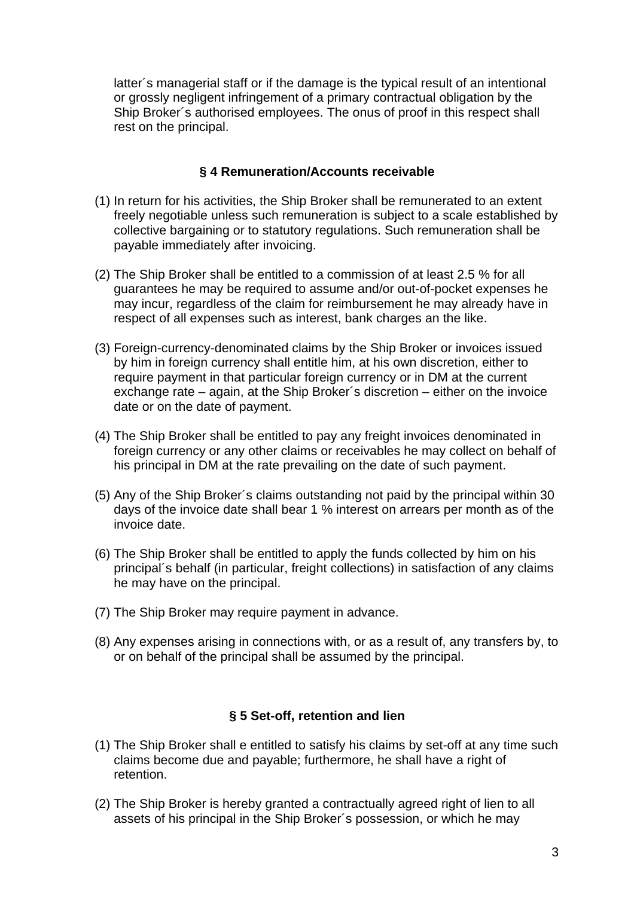latter´s managerial staff or if the damage is the typical result of an intentional or grossly negligent infringement of a primary contractual obligation by the Ship Broker´s authorised employees. The onus of proof in this respect shall rest on the principal.

#### **§ 4 Remuneration/Accounts receivable**

- (1) In return for his activities, the Ship Broker shall be remunerated to an extent freely negotiable unless such remuneration is subject to a scale established by collective bargaining or to statutory regulations. Such remuneration shall be payable immediately after invoicing.
- (2) The Ship Broker shall be entitled to a commission of at least 2.5 % for all guarantees he may be required to assume and/or out-of-pocket expenses he may incur, regardless of the claim for reimbursement he may already have in respect of all expenses such as interest, bank charges an the like.
- (3) Foreign-currency-denominated claims by the Ship Broker or invoices issued by him in foreign currency shall entitle him, at his own discretion, either to require payment in that particular foreign currency or in DM at the current exchange rate – again, at the Ship Broker´s discretion – either on the invoice date or on the date of payment.
- (4) The Ship Broker shall be entitled to pay any freight invoices denominated in foreign currency or any other claims or receivables he may collect on behalf of his principal in DM at the rate prevailing on the date of such payment.
- (5) Any of the Ship Broker´s claims outstanding not paid by the principal within 30 days of the invoice date shall bear 1 % interest on arrears per month as of the invoice date.
- (6) The Ship Broker shall be entitled to apply the funds collected by him on his principal´s behalf (in particular, freight collections) in satisfaction of any claims he may have on the principal.
- (7) The Ship Broker may require payment in advance.
- (8) Any expenses arising in connections with, or as a result of, any transfers by, to or on behalf of the principal shall be assumed by the principal.

## **§ 5 Set-off, retention and lien**

- (1) The Ship Broker shall e entitled to satisfy his claims by set-off at any time such claims become due and payable; furthermore, he shall have a right of retention.
- (2) The Ship Broker is hereby granted a contractually agreed right of lien to all assets of his principal in the Ship Broker´s possession, or which he may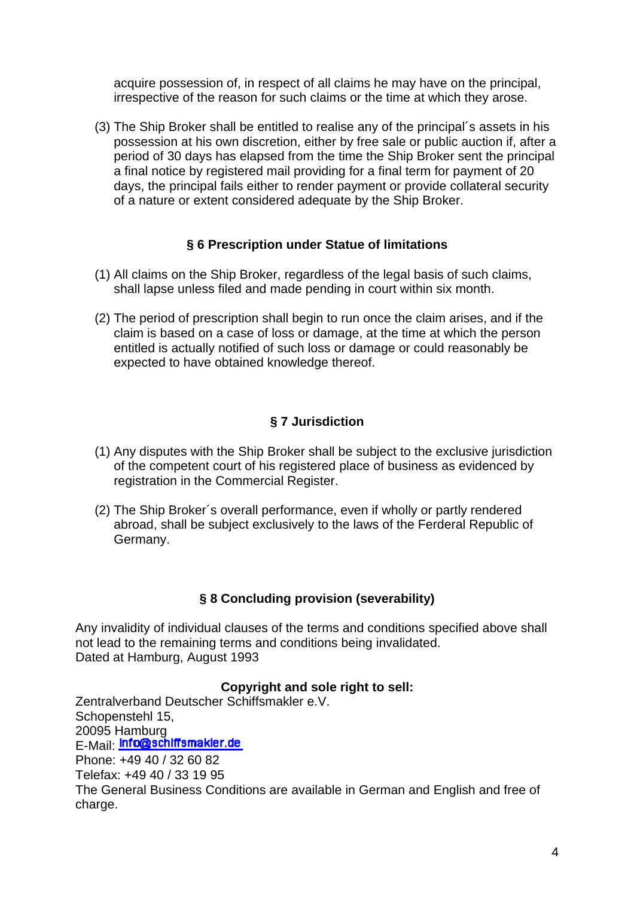acquire possession of, in respect of all claims he may have on the principal, irrespective of the reason for such claims or the time at which they arose.

(3) The Ship Broker shall be entitled to realise any of the principal´s assets in his possession at his own discretion, either by free sale or public auction if, after a period of 30 days has elapsed from the time the Ship Broker sent the principal a final notice by registered mail providing for a final term for payment of 20 days, the principal fails either to render payment or provide collateral security of a nature or extent considered adequate by the Ship Broker.

## **§ 6 Prescription under Statue of limitations**

- (1) All claims on the Ship Broker, regardless of the legal basis of such claims, shall lapse unless filed and made pending in court within six month.
- (2) The period of prescription shall begin to run once the claim arises, and if the claim is based on a case of loss or damage, at the time at which the person entitled is actually notified of such loss or damage or could reasonably be expected to have obtained knowledge thereof.

## **§ 7 Jurisdiction**

- (1) Any disputes with the Ship Broker shall be subject to the exclusive jurisdiction of the competent court of his registered place of business as evidenced by registration in the Commercial Register.
- (2) The Ship Broker´s overall performance, even if wholly or partly rendered abroad, shall be subject exclusively to the laws of the Ferderal Republic of Germany.

## **§ 8 Concluding provision (severability)**

Any invalidity of individual clauses of the terms and conditions specified above shall not lead to the remaining terms and conditions being invalidated. Dated at Hamburg, August 1993

#### **Copyright and sole right to sell:**

Zentralverband Deutscher Schiffsmakler e.V. Schopenstehl 15, 20095 Hamburg E-Mail: Info@schiffsmakler.de Phone: +49 40 / 32 60 82 Telefax: +49 40 / 33 19 95 The General Business Conditions are available in German and English and free of charge.